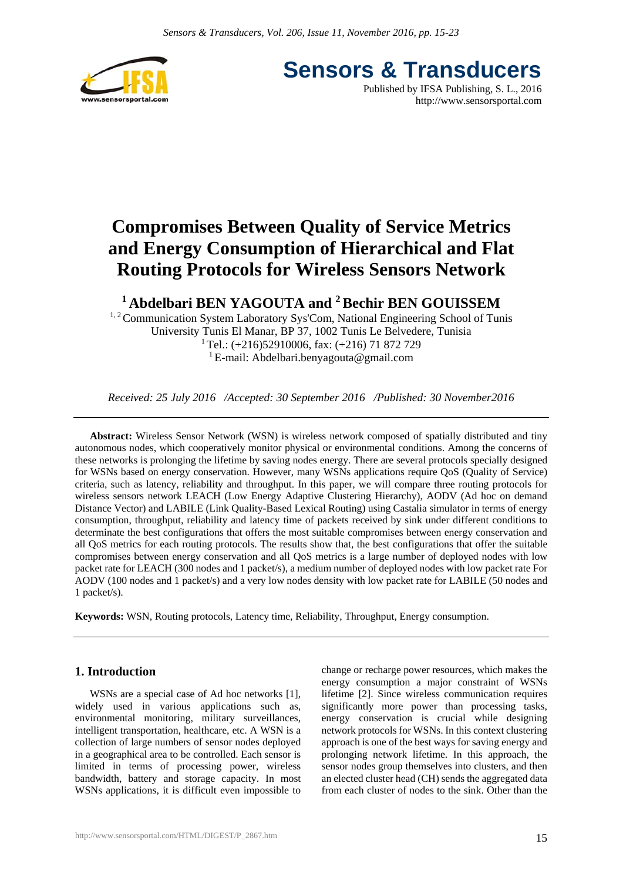

**Sensors & Transducers** Published by IFSA Publishing, S. L., 2016 http://www.sensorsportal.com

# **Compromises Between Quality of Service Metrics and Energy Consumption of Hierarchical and Flat Routing Protocols for Wireless Sensors Network**

# **1 Abdelbari BEN YAGOUTA and 2 Bechir BEN GOUISSEM**

<sup>1, 2</sup> Communication System Laboratory Sys'Com, National Engineering School of Tunis University Tunis El Manar, BP 37, 1002 Tunis Le Belvedere, Tunisia  $1$ Tel.: (+216)52910006, fax: (+216) 71 872 729 <sup>1</sup> E-mail: Abdelbari.benyagouta@gmail.com

*Received: 25 July 2016 /Accepted: 30 September 2016 /Published: 30 November2016* 

**Abstract:** Wireless Sensor Network (WSN) is wireless network composed of spatially distributed and tiny autonomous nodes, which cooperatively monitor physical or environmental conditions. Among the concerns of these networks is prolonging the lifetime by saving nodes energy. There are several protocols specially designed for WSNs based on energy conservation. However, many WSNs applications require QoS (Quality of Service) criteria, such as latency, reliability and throughput. In this paper, we will compare three routing protocols for wireless sensors network LEACH (Low Energy Adaptive Clustering Hierarchy), AODV (Ad hoc on demand Distance Vector) and LABILE (Link Quality-Based Lexical Routing) using Castalia simulator in terms of energy consumption, throughput, reliability and latency time of packets received by sink under different conditions to determinate the best configurations that offers the most suitable compromises between energy conservation and all QoS metrics for each routing protocols. The results show that, the best configurations that offer the suitable compromises between energy conservation and all QoS metrics is a large number of deployed nodes with low packet rate for LEACH (300 nodes and 1 packet/s), a medium number of deployed nodes with low packet rate For AODV (100 nodes and 1 packet/s) and a very low nodes density with low packet rate for LABILE (50 nodes and 1 packet/s).

**Keywords:** WSN, Routing protocols, Latency time, Reliability, Throughput, Energy consumption.

### **1. Introduction**

WSNs are a special case of Ad hoc networks [1], widely used in various applications such as, environmental monitoring, military surveillances, intelligent transportation, healthcare, etc. A WSN is a collection of large numbers of sensor nodes deployed in a geographical area to be controlled. Each sensor is limited in terms of processing power, wireless bandwidth, battery and storage capacity. In most WSNs applications, it is difficult even impossible to

change or recharge power resources, which makes the energy consumption a major constraint of WSNs lifetime [2]. Since wireless communication requires significantly more power than processing tasks, energy conservation is crucial while designing network protocols for WSNs. In this context clustering approach is one of the best ways for saving energy and prolonging network lifetime. In this approach, the sensor nodes group themselves into clusters, and then an elected cluster head (CH) sends the aggregated data from each cluster of nodes to the sink. Other than the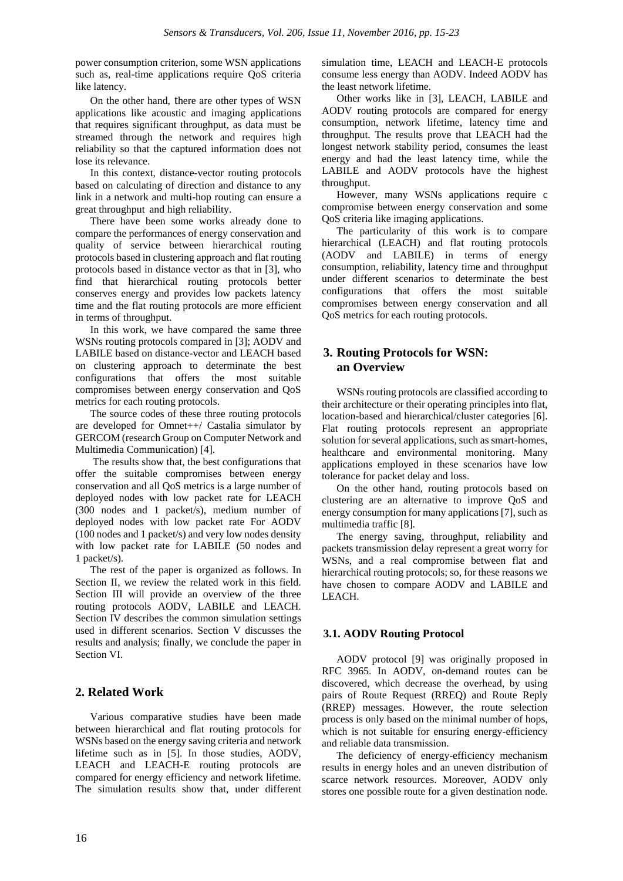power consumption criterion, some WSN applications such as, real-time applications require QoS criteria like latency.

On the other hand, there are other types of WSN applications like acoustic and imaging applications that requires significant throughput, as data must be streamed through the network and requires high reliability so that the captured information does not lose its relevance.

In this context, distance-vector routing protocols based on calculating of direction and distance to any link in a network and multi-hop routing can ensure a great throughput and high reliability.

There have been some works already done to compare the performances of energy conservation and quality of service between hierarchical routing protocols based in clustering approach and flat routing protocols based in distance vector as that in [3], who find that hierarchical routing protocols better conserves energy and provides low packets latency time and the flat routing protocols are more efficient in terms of throughput.

In this work, we have compared the same three WSNs routing protocols compared in [3]; AODV and LABILE based on distance-vector and LEACH based on clustering approach to determinate the best configurations that offers the most suitable compromises between energy conservation and QoS metrics for each routing protocols.

The source codes of these three routing protocols are developed for Omnet++/ Castalia simulator by GERCOM (research Group on Computer Network and Multimedia Communication) [4].

 The results show that, the best configurations that offer the suitable compromises between energy conservation and all QoS metrics is a large number of deployed nodes with low packet rate for LEACH (300 nodes and 1 packet/s), medium number of deployed nodes with low packet rate For AODV (100 nodes and 1 packet/s) and very low nodes density with low packet rate for LABILE (50 nodes and 1 packet/s).

The rest of the paper is organized as follows. In Section II, we review the related work in this field. Section III will provide an overview of the three routing protocols AODV, LABILE and LEACH. Section IV describes the common simulation settings used in different scenarios. Section V discusses the results and analysis; finally, we conclude the paper in Section VI.

#### **2. Related Work**

Various comparative studies have been made between hierarchical and flat routing protocols for WSNs based on the energy saving criteria and network lifetime such as in [5]. In those studies, AODV, LEACH and LEACH-E routing protocols are compared for energy efficiency and network lifetime. The simulation results show that, under different

simulation time, LEACH and LEACH-E protocols consume less energy than AODV. Indeed AODV has the least network lifetime.

Other works like in [3], LEACH, LABILE and AODV routing protocols are compared for energy consumption, network lifetime, latency time and throughput. The results prove that LEACH had the longest network stability period, consumes the least energy and had the least latency time, while the LABILE and AODV protocols have the highest throughput.

However, many WSNs applications require c compromise between energy conservation and some QoS criteria like imaging applications.

The particularity of this work is to compare hierarchical (LEACH) and flat routing protocols (AODV and LABILE) in terms of energy consumption, reliability, latency time and throughput under different scenarios to determinate the best configurations that offers the most suitable compromises between energy conservation and all QoS metrics for each routing protocols.

#### **3. Routing Protocols for WSN: an Overview**

WSNs routing protocols are classified according to their architecture or their operating principles into flat, location-based and hierarchical/cluster categories [6]. Flat routing protocols represent an appropriate solution for several applications, such as smart-homes, healthcare and environmental monitoring. Many applications employed in these scenarios have low tolerance for packet delay and loss.

On the other hand, routing protocols based on clustering are an alternative to improve QoS and energy consumption for many applications [7], such as multimedia traffic [8].

The energy saving, throughput, reliability and packets transmission delay represent a great worry for WSNs, and a real compromise between flat and hierarchical routing protocols; so, for these reasons we have chosen to compare AODV and LABILE and LEACH.

#### **3.1. AODV Routing Protocol**

AODV protocol [9] was originally proposed in RFC 3965. In AODV, on-demand routes can be discovered, which decrease the overhead, by using pairs of Route Request (RREQ) and Route Reply (RREP) messages. However, the route selection process is only based on the minimal number of hops, which is not suitable for ensuring energy-efficiency and reliable data transmission.

The deficiency of energy-efficiency mechanism results in energy holes and an uneven distribution of scarce network resources. Moreover, AODV only stores one possible route for a given destination node.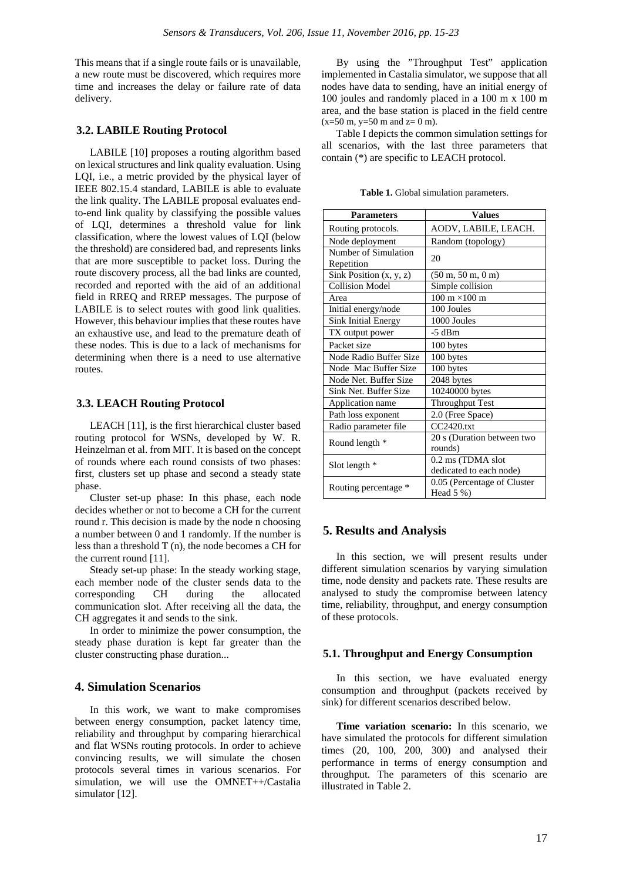This means that if a single route fails or is unavailable, a new route must be discovered, which requires more time and increases the delay or failure rate of data delivery.

#### **3.2. LABILE Routing Protocol**

LABILE [10] proposes a routing algorithm based on lexical structures and link quality evaluation. Using LQI, i.e., a metric provided by the physical layer of IEEE 802.15.4 standard, LABILE is able to evaluate the link quality. The LABILE proposal evaluates endto-end link quality by classifying the possible values of LQI, determines a threshold value for link classification, where the lowest values of LQI (below the threshold) are considered bad, and represents links that are more susceptible to packet loss. During the route discovery process, all the bad links are counted, recorded and reported with the aid of an additional field in RREQ and RREP messages. The purpose of LABILE is to select routes with good link qualities. However, this behaviour implies that these routes have an exhaustive use, and lead to the premature death of these nodes. This is due to a lack of mechanisms for determining when there is a need to use alternative routes.

#### **3.3. LEACH Routing Protocol**

LEACH [11], is the first hierarchical cluster based routing protocol for WSNs, developed by W. R. Heinzelman et al. from MIT. It is based on the concept of rounds where each round consists of two phases: first, clusters set up phase and second a steady state phase.

Cluster set-up phase: In this phase, each node decides whether or not to become a CH for the current round r. This decision is made by the node n choosing a number between 0 and 1 randomly. If the number is less than a threshold T (n), the node becomes a CH for the current round [11].

Steady set-up phase: In the steady working stage, each member node of the cluster sends data to the corresponding CH during the allocated communication slot. After receiving all the data, the CH aggregates it and sends to the sink.

In order to minimize the power consumption, the steady phase duration is kept far greater than the cluster constructing phase duration...

#### **4. Simulation Scenarios**

In this work, we want to make compromises between energy consumption, packet latency time, reliability and throughput by comparing hierarchical and flat WSNs routing protocols. In order to achieve convincing results, we will simulate the chosen protocols several times in various scenarios. For simulation, we will use the OMNET++/Castalia simulator [12].

By using the "Throughput Test" application implemented in Castalia simulator, we suppose that all nodes have data to sending, have an initial energy of 100 joules and randomly placed in a 100 m x 100 m area, and the base station is placed in the field centre  $(x=50 \text{ m}, y=50 \text{ m} \text{ and } z=0 \text{ m}).$ 

Table I depicts the common simulation settings for all scenarios, with the last three parameters that contain (\*) are specific to LEACH protocol.

| <b>Parameters</b>                           | <b>Values</b>                               |
|---------------------------------------------|---------------------------------------------|
| Routing protocols.                          | AODV, LABILE, LEACH.                        |
| Node deployment                             | Random (topology)                           |
| Number of Simulation                        | 20                                          |
| Repetition                                  |                                             |
| $\overline{\text{Sink}}$ Position (x, y, z) | $(50 \text{ m}, 50 \text{ m}, 0 \text{ m})$ |
| <b>Collision Model</b>                      | Simple collision                            |
| Area                                        | $100 \text{ m} \times 100 \text{ m}$        |
| Initial energy/node                         | 100 Joules                                  |
| <b>Sink Initial Energy</b>                  | 1000 Joules                                 |
| TX output power                             | -5 dBm                                      |
| Packet size                                 | 100 bytes                                   |
| Node Radio Buffer Size                      | 100 bytes                                   |
| Node Mac Buffer Size                        | 100 bytes                                   |
| Node Net. Buffer Size                       | 2048 bytes                                  |
| Sink Net. Buffer Size                       | 10240000 bytes                              |
| Application name                            | Throughput Test                             |
| Path loss exponent                          | 2.0 (Free Space)                            |
| Radio parameter file                        | CC2420.txt                                  |
| Round length *                              | 20 s (Duration between two                  |
|                                             | rounds)                                     |
| Slot length $*$                             | 0.2 ms (TDMA slot                           |
|                                             | dedicated to each node)                     |
| Routing percentage *                        | 0.05 (Percentage of Cluster                 |
|                                             | Head $5\%$ )                                |

**Table 1.** Global simulation parameters.

#### **5. Results and Analysis**

In this section, we will present results under different simulation scenarios by varying simulation time, node density and packets rate. These results are analysed to study the compromise between latency time, reliability, throughput, and energy consumption of these protocols.

#### **5.1. Throughput and Energy Consumption**

In this section, we have evaluated energy consumption and throughput (packets received by sink) for different scenarios described below.

**Time variation scenario:** In this scenario, we have simulated the protocols for different simulation times (20, 100, 200, 300) and analysed their performance in terms of energy consumption and throughput. The parameters of this scenario are illustrated in Table 2.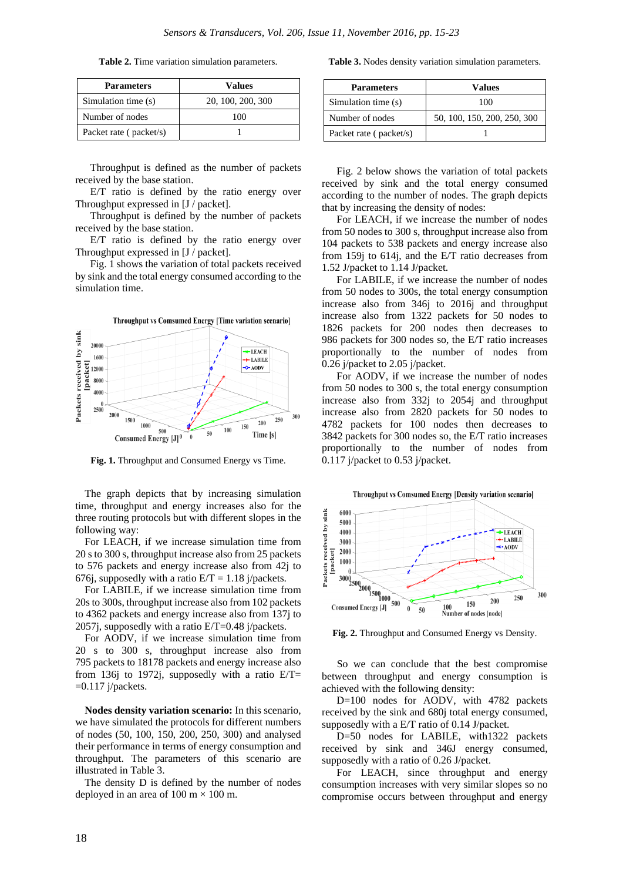**Table 2.** Time variation simulation parameters.

| <b>Parameters</b>      | Values            |
|------------------------|-------------------|
| Simulation time (s)    | 20, 100, 200, 300 |
| Number of nodes        | 100               |
| Packet rate (packet/s) |                   |

Throughput is defined as the number of packets received by the base station.

E/T ratio is defined by the ratio energy over Throughput expressed in [J / packet].

Throughput is defined by the number of packets received by the base station.

E/T ratio is defined by the ratio energy over Throughput expressed in [J / packet].

Fig. 1 shows the variation of total packets received by sink and the total energy consumed according to the simulation time.



**Fig. 1.** Throughput and Consumed Energy vs Time.

The graph depicts that by increasing simulation time, throughput and energy increases also for the three routing protocols but with different slopes in the following way:

For LEACH, if we increase simulation time from 20 s to 300 s, throughput increase also from 25 packets to 576 packets and energy increase also from 42j to 676j, supposedly with a ratio  $E/T = 1.18$  j/packets.

For LABILE, if we increase simulation time from 20s to 300s, throughput increase also from 102 packets to 4362 packets and energy increase also from 137j to 2057j, supposedly with a ratio E/T=0.48 j/packets.

For AODV, if we increase simulation time from 20 s to 300 s, throughput increase also from 795 packets to 18178 packets and energy increase also from 136j to 1972j, supposedly with a ratio  $E/T=$  $=0.117$  j/packets.

**Nodes density variation scenario:** In this scenario, we have simulated the protocols for different numbers of nodes (50, 100, 150, 200, 250, 300) and analysed their performance in terms of energy consumption and throughput. The parameters of this scenario are illustrated in Table 3.

The density D is defined by the number of nodes deployed in an area of  $100 \text{ m} \times 100 \text{ m}$ .

**Table 3.** Nodes density variation simulation parameters.

| <b>Parameters</b>      | Values                      |
|------------------------|-----------------------------|
| Simulation time (s)    | 100                         |
| Number of nodes        | 50, 100, 150, 200, 250, 300 |
| Packet rate (packet/s) |                             |

Fig. 2 below shows the variation of total packets received by sink and the total energy consumed according to the number of nodes. The graph depicts that by increasing the density of nodes:

For LEACH, if we increase the number of nodes from 50 nodes to 300 s, throughput increase also from 104 packets to 538 packets and energy increase also from 159j to 614j, and the E/T ratio decreases from 1.52 J/packet to 1.14 J/packet.

For LABILE, if we increase the number of nodes from 50 nodes to 300s, the total energy consumption increase also from 346j to 2016j and throughput increase also from 1322 packets for 50 nodes to 1826 packets for 200 nodes then decreases to 986 packets for 300 nodes so, the E/T ratio increases proportionally to the number of nodes from 0.26 j/packet to 2.05 j/packet.

For AODV, if we increase the number of nodes from 50 nodes to 300 s, the total energy consumption increase also from 332j to 2054j and throughput increase also from 2820 packets for 50 nodes to 4782 packets for 100 nodes then decreases to 3842 packets for 300 nodes so, the E/T ratio increases proportionally to the number of nodes from 0.117 j/packet to 0.53 j/packet.

**Throughput vs Comsumed Energy [Density variation scenario]** 



**Fig. 2.** Throughput and Consumed Energy vs Density.

So we can conclude that the best compromise between throughput and energy consumption is achieved with the following density:

D=100 nodes for AODV, with 4782 packets received by the sink and 680j total energy consumed, supposedly with a E/T ratio of 0.14 J/packet.

D=50 nodes for LABILE, with1322 packets received by sink and 346J energy consumed, supposedly with a ratio of 0.26 J/packet.

For LEACH, since throughput and energy consumption increases with very similar slopes so no compromise occurs between throughput and energy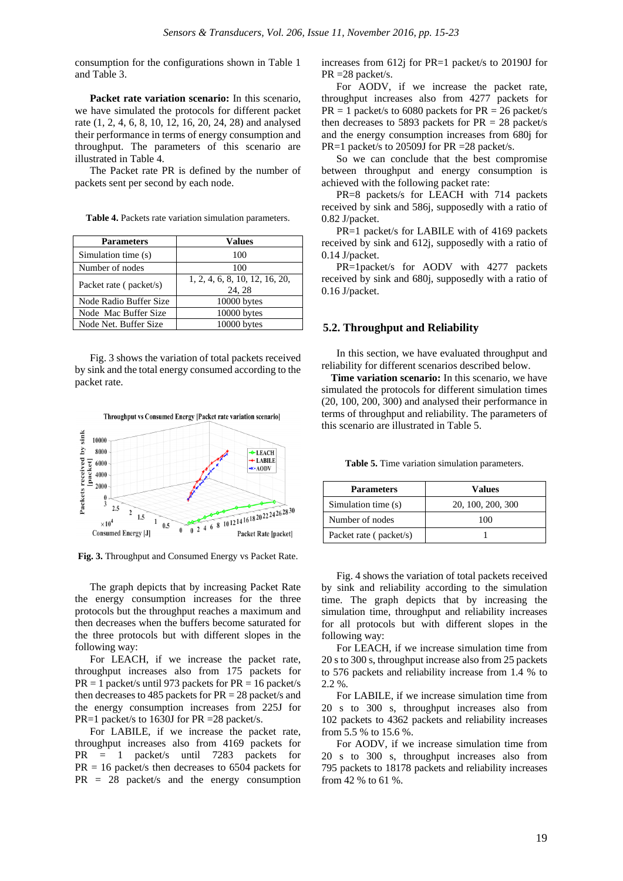consumption for the configurations shown in Table 1 and Table 3.

**Packet rate variation scenario:** In this scenario, we have simulated the protocols for different packet rate (1, 2, 4, 6, 8, 10, 12, 16, 20, 24, 28) and analysed their performance in terms of energy consumption and throughput. The parameters of this scenario are illustrated in Table 4.

The Packet rate PR is defined by the number of packets sent per second by each node.

**Table 4.** Packets rate variation simulation parameters.

| <b>Parameters</b>      | Values                                  |
|------------------------|-----------------------------------------|
| Simulation time (s)    | 100                                     |
| Number of nodes        | 100                                     |
| Packet rate (packet/s) | 1, 2, 4, 6, 8, 10, 12, 16, 20,<br>24.28 |
| Node Radio Buffer Size | 10000 bytes                             |
| Node Mac Buffer Size   | 10000 bytes                             |
| Node Net. Buffer Size  | 10000 bytes                             |

Fig. 3 shows the variation of total packets received by sink and the total energy consumed according to the packet rate.



**Fig. 3.** Throughput and Consumed Energy vs Packet Rate.

The graph depicts that by increasing Packet Rate the energy consumption increases for the three protocols but the throughput reaches a maximum and then decreases when the buffers become saturated for the three protocols but with different slopes in the following way:

For LEACH, if we increase the packet rate, throughput increases also from 175 packets for  $PR = 1$  packet/s until 973 packets for  $PR = 16$  packet/s then decreases to 485 packets for  $PR = 28$  packet/s and the energy consumption increases from 225J for PR=1 packet/s to 1630J for PR = 28 packet/s.

For LABILE, if we increase the packet rate, throughput increases also from 4169 packets for PR = 1 packet/s until 7283 packets for  $PR = 16$  packet/s then decreases to 6504 packets for PR = 28 packet/s and the energy consumption increases from 612j for PR=1 packet/s to 20190J for PR =28 packet/s.

For AODV, if we increase the packet rate, throughput increases also from 4277 packets for  $PR = 1$  packet/s to 6080 packets for  $PR = 26$  packet/s then decreases to 5893 packets for  $PR = 28$  packet/s and the energy consumption increases from 680j for PR=1 packet/s to 20509J for PR = 28 packet/s.

So we can conclude that the best compromise between throughput and energy consumption is achieved with the following packet rate:

PR=8 packets/s for LEACH with 714 packets received by sink and 586j, supposedly with a ratio of 0.82 J/packet.

PR=1 packet/s for LABILE with of 4169 packets received by sink and 612j, supposedly with a ratio of 0.14 J/packet.

PR=1packet/s for AODV with 4277 packets received by sink and 680j, supposedly with a ratio of 0.16 J/packet.

#### **5.2. Throughput and Reliability**

In this section, we have evaluated throughput and reliability for different scenarios described below.

**Time variation scenario:** In this scenario, we have simulated the protocols for different simulation times (20, 100, 200, 300) and analysed their performance in terms of throughput and reliability. The parameters of this scenario are illustrated in Table 5.

**Table 5.** Time variation simulation parameters.

| <b>Parameters</b>      | Values            |
|------------------------|-------------------|
| Simulation time (s)    | 20, 100, 200, 300 |
| Number of nodes        | 100               |
| Packet rate (packet/s) |                   |

Fig. 4 shows the variation of total packets received by sink and reliability according to the simulation time. The graph depicts that by increasing the simulation time, throughput and reliability increases for all protocols but with different slopes in the following way:

For LEACH, if we increase simulation time from 20 s to 300 s, throughput increase also from 25 packets to 576 packets and reliability increase from 1.4 % to 2.2 %.

For LABILE, if we increase simulation time from 20 s to 300 s, throughput increases also from 102 packets to 4362 packets and reliability increases from 5.5 % to 15.6 %.

For AODV, if we increase simulation time from 20 s to 300 s, throughput increases also from 795 packets to 18178 packets and reliability increases from 42 % to 61 %.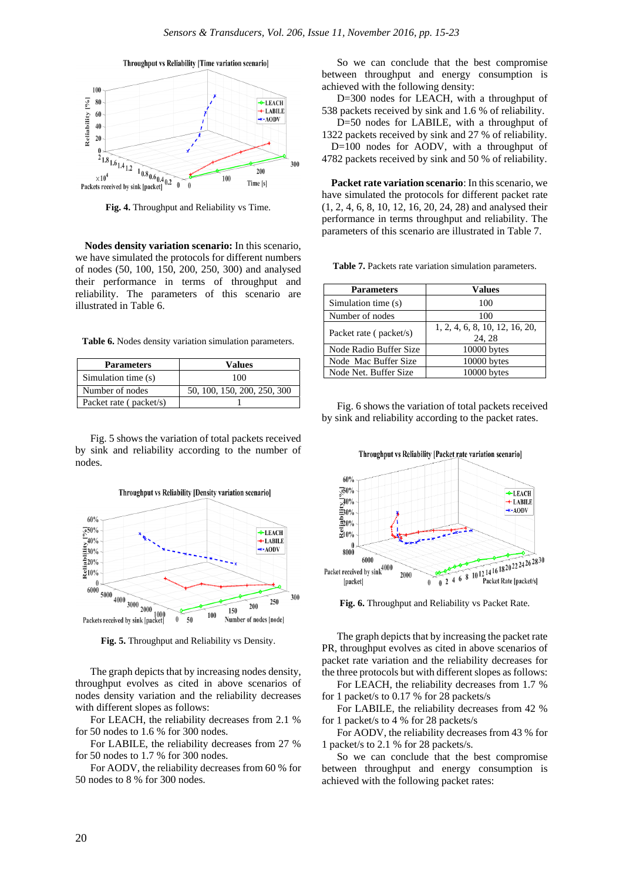

**Fig. 4.** Throughput and Reliability vs Time.

**Nodes density variation scenario:** In this scenario, we have simulated the protocols for different numbers of nodes (50, 100, 150, 200, 250, 300) and analysed their performance in terms of throughput and reliability. The parameters of this scenario are illustrated in Table 6.

**Table 6.** Nodes density variation simulation parameters.

| <b>Parameters</b>      | <b>Values</b>               |
|------------------------|-----------------------------|
| Simulation time (s)    | 100                         |
| Number of nodes        | 50, 100, 150, 200, 250, 300 |
| Packet rate (packet/s) |                             |

Fig. 5 shows the variation of total packets received by sink and reliability according to the number of nodes.



**Fig. 5.** Throughput and Reliability vs Density.

The graph depicts that by increasing nodes density, throughput evolves as cited in above scenarios of nodes density variation and the reliability decreases with different slopes as follows:

For LEACH, the reliability decreases from 2.1 % for 50 nodes to 1.6 % for 300 nodes.

For LABILE, the reliability decreases from 27 % for 50 nodes to 1.7 % for 300 nodes.

For AODV, the reliability decreases from 60 % for 50 nodes to 8 % for 300 nodes.

So we can conclude that the best compromise between throughput and energy consumption is achieved with the following density:

D=300 nodes for LEACH, with a throughput of 538 packets received by sink and 1.6 % of reliability.

D=50 nodes for LABILE, with a throughput of 1322 packets received by sink and 27 % of reliability. D=100 nodes for AODV, with a throughput of

4782 packets received by sink and 50 % of reliability.

**Packet rate variation scenario**: In this scenario, we have simulated the protocols for different packet rate (1, 2, 4, 6, 8, 10, 12, 16, 20, 24, 28) and analysed their performance in terms throughput and reliability. The parameters of this scenario are illustrated in Table 7.

**Table 7.** Packets rate variation simulation parameters.

| <b>Parameters</b>      | Values                                  |
|------------------------|-----------------------------------------|
| Simulation time (s)    | 100                                     |
| Number of nodes        | 100                                     |
| Packet rate (packet/s) | 1, 2, 4, 6, 8, 10, 12, 16, 20,<br>24.28 |
| Node Radio Buffer Size | 10000 bytes                             |
| Node Mac Buffer Size   | 10000 bytes                             |
| Node Net. Buffer Size  | 10000 bytes                             |

Fig. 6 shows the variation of total packets received by sink and reliability according to the packet rates.



**Fig. 6.** Throughput and Reliability vs Packet Rate.

The graph depicts that by increasing the packet rate PR, throughput evolves as cited in above scenarios of packet rate variation and the reliability decreases for the three protocols but with different slopes as follows:

For LEACH, the reliability decreases from 1.7 % for 1 packet/s to 0.17 % for 28 packets/s

For LABILE, the reliability decreases from 42 % for 1 packet/s to 4 % for 28 packets/s

For AODV, the reliability decreases from 43 % for 1 packet/s to 2.1 % for 28 packets/s.

So we can conclude that the best compromise between throughput and energy consumption is achieved with the following packet rates: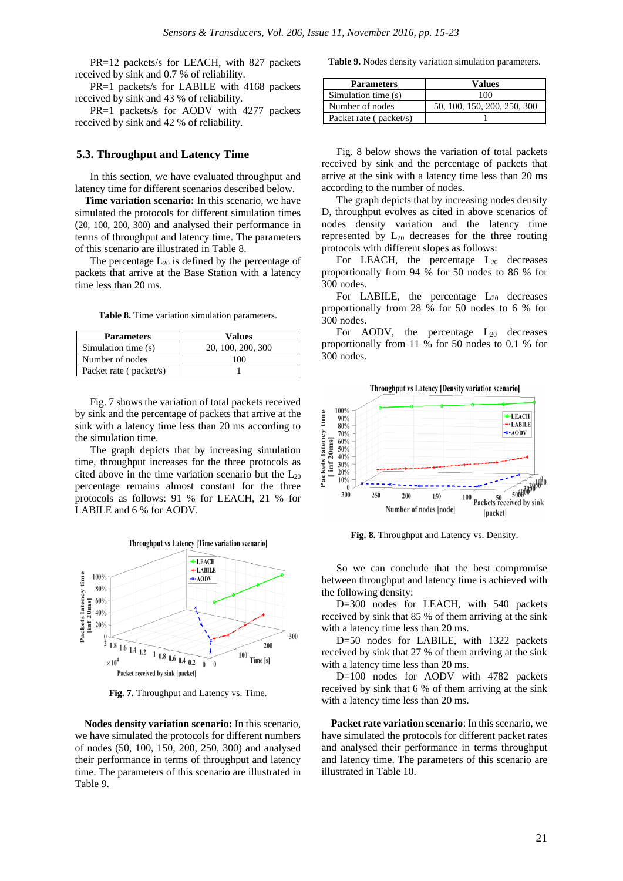PR=12 packets/s for LEACH, with 827 packets received by sink and 0.7 % of reliability.

PR=1 packets/s for LABILE with 4168 packets received by sink and 43 % of reliability.

PR=1 packets/s for AODV with 4277 packets received by sink and 42 % of reliability.

#### **5.3. Throughput and Latency Time**

In this section, we have evaluated throughput and latency time for different scenarios described below.

**Time variation scenario:** In this scenario, we have simulated the protocols for different simulation times (20, 100, 200, 300) and analysed their performance in terms of throughput and latency time. The parameters of this scenario are illustrated in Table 8.

The percentage  $L_{20}$  is defined by the percentage of packets that arrive at the Base Station with a latency time less than 20 ms.

**Table 8.** Time variation simulation parameters.

| <b>Parameters</b>      | Values            |
|------------------------|-------------------|
| Simulation time (s)    | 20, 100, 200, 300 |
| Number of nodes        | 100               |
| Packet rate (packet/s) |                   |

Fig. 7 shows the variation of total packets received by sink and the percentage of packets that arrive at the sink with a latency time less than 20 ms according to the simulation time.

The graph depicts that by increasing simulation time, throughput increases for the three protocols as cited above in the time variation scenario but the  $L_{20}$ percentage remains almost constant for the three protocols as follows: 91 % for LEACH, 21 % for LABILE and 6 % for AODV.



**Fig. 7.** Throughput and Latency vs. Time.

**Nodes density variation scenario:** In this scenario, we have simulated the protocols for different numbers of nodes (50, 100, 150, 200, 250, 300) and analysed their performance in terms of throughput and latency time. The parameters of this scenario are illustrated in Table 9.

**Table 9.** Nodes density variation simulation parameters.

| <b>Parameters</b>      | Values                      |
|------------------------|-----------------------------|
| Simulation time (s)    | 100                         |
| Number of nodes        | 50, 100, 150, 200, 250, 300 |
| Packet rate (packet/s) |                             |

Fig. 8 below shows the variation of total packets received by sink and the percentage of packets that arrive at the sink with a latency time less than 20 ms according to the number of nodes.

The graph depicts that by increasing nodes density D, throughput evolves as cited in above scenarios of nodes density variation and the latency time represented by  $L_{20}$  decreases for the three routing protocols with different slopes as follows:

For LEACH, the percentage  $L_{20}$  decreases proportionally from 94 % for 50 nodes to 86 % for 300 nodes.

For LABILE, the percentage  $L_{20}$  decreases proportionally from 28 % for 50 nodes to 6 % for 300 nodes.

For AODV, the percentage  $L_{20}$  decreases proportionally from 11 % for 50 nodes to 0.1 % for 300 nodes.



**Fig. 8.** Throughput and Latency vs. Density.

So we can conclude that the best compromise between throughput and latency time is achieved with the following density:

D=300 nodes for LEACH, with 540 packets received by sink that 85 % of them arriving at the sink with a latency time less than 20 ms.

D=50 nodes for LABILE, with 1322 packets received by sink that 27 % of them arriving at the sink with a latency time less than 20 ms.

D=100 nodes for AODV with 4782 packets received by sink that 6 % of them arriving at the sink with a latency time less than 20 ms.

**Packet rate variation scenario**: In this scenario, we have simulated the protocols for different packet rates and analysed their performance in terms throughput and latency time. The parameters of this scenario are illustrated in Table 10.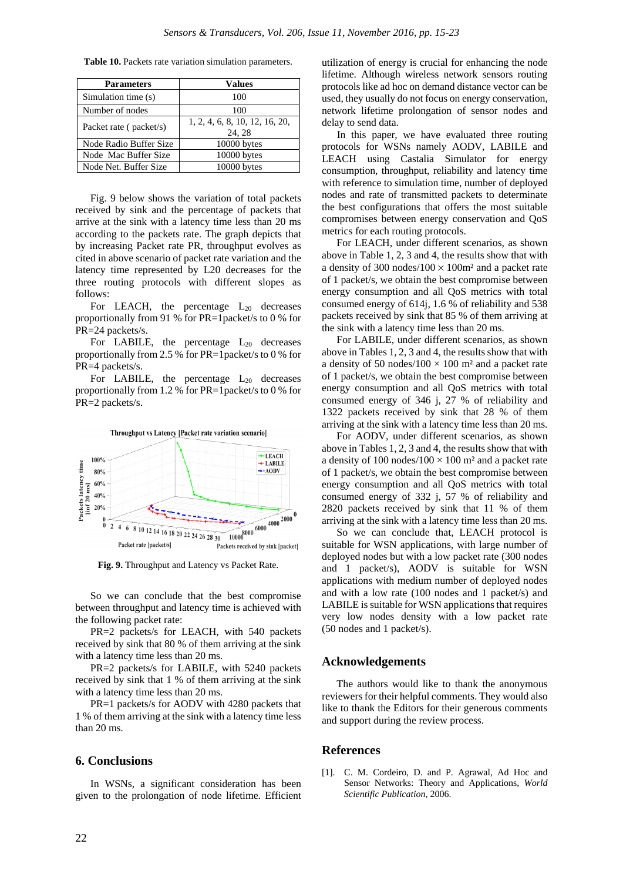| <b>Parameters</b>      | <b>Values</b>                           |
|------------------------|-----------------------------------------|
| Simulation time (s)    | 100                                     |
| Number of nodes        | 100                                     |
| Packet rate (packet/s) | 1, 2, 4, 6, 8, 10, 12, 16, 20,<br>24.28 |
| Node Radio Buffer Size | 10000 bytes                             |
| Node Mac Buffer Size   | 10000 bytes                             |
| Node Net. Buffer Size  | 10000 bytes                             |

**Table 10.** Packets rate variation simulation parameters.

Fig. 9 below shows the variation of total packets received by sink and the percentage of packets that arrive at the sink with a latency time less than 20 ms according to the packets rate. The graph depicts that by increasing Packet rate PR, throughput evolves as cited in above scenario of packet rate variation and the latency time represented by L20 decreases for the three routing protocols with different slopes as follows:

For LEACH, the percentage  $L_{20}$  decreases proportionally from 91 % for PR=1packet/s to 0 % for PR=24 packets/s.

For LABILE, the percentage  $L_{20}$  decreases proportionally from 2.5 % for PR=1packet/s to 0 % for PR=4 packets/s.

For LABILE, the percentage  $L_{20}$  decreases proportionally from 1.2 % for PR=1packet/s to 0 % for PR=2 packets/s.



**Fig. 9.** Throughput and Latency vs Packet Rate.

So we can conclude that the best compromise between throughput and latency time is achieved with the following packet rate:

PR=2 packets/s for LEACH, with 540 packets received by sink that 80 % of them arriving at the sink with a latency time less than 20 ms.

PR=2 packets/s for LABILE, with 5240 packets received by sink that 1 % of them arriving at the sink with a latency time less than 20 ms.

PR=1 packets/s for AODV with 4280 packets that 1 % of them arriving at the sink with a latency time less than 20 ms.

#### **6. Conclusions**

In WSNs, a significant consideration has been given to the prolongation of node lifetime. Efficient utilization of energy is crucial for enhancing the node lifetime. Although wireless network sensors routing protocols like ad hoc on demand distance vector can be used, they usually do not focus on energy conservation, network lifetime prolongation of sensor nodes and delay to send data.

In this paper, we have evaluated three routing protocols for WSNs namely AODV, LABILE and LEACH using Castalia Simulator for energy consumption, throughput, reliability and latency time with reference to simulation time, number of deployed nodes and rate of transmitted packets to determinate the best configurations that offers the most suitable compromises between energy conservation and QoS metrics for each routing protocols.

For LEACH, under different scenarios, as shown above in Table 1, 2, 3 and 4, the results show that with a density of 300 nodes/100  $\times$  100 $m<sup>2</sup>$  and a packet rate of 1 packet/s, we obtain the best compromise between energy consumption and all QoS metrics with total consumed energy of 614j, 1.6 % of reliability and 538 packets received by sink that 85 % of them arriving at the sink with a latency time less than 20 ms.

For LABILE, under different scenarios, as shown above in Tables 1, 2, 3 and 4, the results show that with a density of 50 nodes/100  $\times$  100 m<sup>2</sup> and a packet rate of 1 packet/s, we obtain the best compromise between energy consumption and all QoS metrics with total consumed energy of 346 j, 27 % of reliability and 1322 packets received by sink that 28 % of them arriving at the sink with a latency time less than 20 ms.

For AODV, under different scenarios, as shown above in Tables 1, 2, 3 and 4, the results show that with a density of 100 nodes/100  $\times$  100 m<sup>2</sup> and a packet rate of 1 packet/s, we obtain the best compromise between energy consumption and all QoS metrics with total consumed energy of 332 j, 57 % of reliability and 2820 packets received by sink that 11 % of them arriving at the sink with a latency time less than 20 ms.

So we can conclude that, LEACH protocol is suitable for WSN applications, with large number of deployed nodes but with a low packet rate (300 nodes and 1 packet/s), AODV is suitable for WSN applications with medium number of deployed nodes and with a low rate (100 nodes and 1 packet/s) and LABILE is suitable for WSN applications that requires very low nodes density with a low packet rate (50 nodes and 1 packet/s).

#### **Acknowledgements**

The authors would like to thank the anonymous reviewers for their helpful comments. They would also like to thank the Editors for their generous comments and support during the review process.

#### **References**

[1]. C. M. Cordeiro, D. and P. Agrawal, Ad Hoc and Sensor Networks: Theory and Applications, *World Scientific Publication,* 2006.